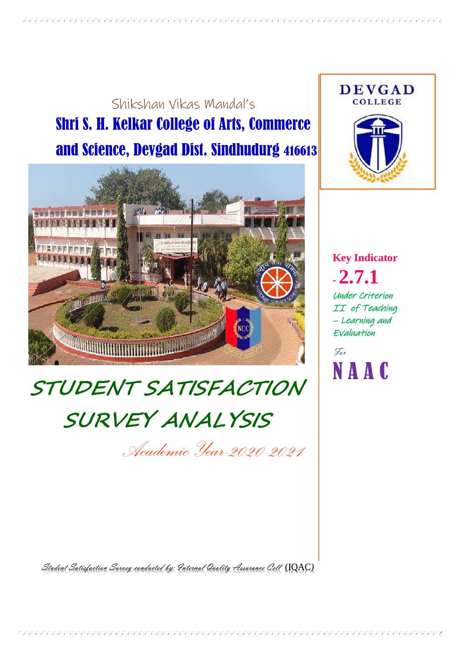## Shikshan Vikas Mandal's Shri S. H. Kelkar College of Arts, Commerce and Science, Devgad Dist. Sindhudurg 416613



# **STUDENT SATISFACTION SURVEY ANALYSIS**

*Academic Year-2020-2021*

Student Satisfaction Survey conducted by: Internal Quality Assurance Cell (IQAC*)*



**Key Indicator - 2.7.1** Under Criterion II of Teaching – Learning and Evaluation

For N A A C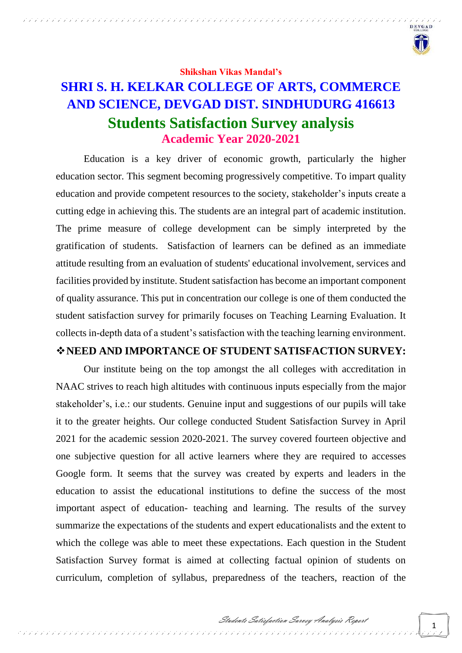

**Shikshan Vikas Mandal's**

## **SHRI S. H. KELKAR COLLEGE OF ARTS, COMMERCE AND SCIENCE, DEVGAD DIST. SINDHUDURG 416613 Students Satisfaction Survey analysis Academic Year 2020-2021**

Education is a key driver of economic growth, particularly the higher education sector. This segment becoming progressively competitive. To impart quality education and provide competent resources to the society, stakeholder's inputs create a cutting edge in achieving this. The students are an integral part of academic institution. The prime measure of college development can be simply interpreted by the gratification of students. Satisfaction of learners can be defined as an immediate attitude resulting from an evaluation of students' educational involvement, services and facilities provided by institute. Student satisfaction has become an important component of quality assurance. This put in concentration our college is one of them conducted the student satisfaction survey for primarily focuses on Teaching Learning Evaluation. It collects in-depth data of a student's satisfaction with the teaching learning environment.

#### **NEED AND IMPORTANCE OF STUDENT SATISFACTION SURVEY:**

Our institute being on the top amongst the all colleges with accreditation in NAAC strives to reach high altitudes with continuous inputs especially from the major stakeholder's, i.e.: our students. Genuine input and suggestions of our pupils will take it to the greater heights. Our college conducted Student Satisfaction Survey in April 2021 for the academic session 2020-2021. The survey covered fourteen objective and one subjective question for all active learners where they are required to accesses Google form. It seems that the survey was created by experts and leaders in the education to assist the educational institutions to define the success of the most important aspect of education- teaching and learning. The results of the survey summarize the expectations of the students and expert educationalists and the extent to which the college was able to meet these expectations. Each question in the Student Satisfaction Survey format is aimed at collecting factual opinion of students on curriculum, completion of syllabus, preparedness of the teachers, reaction of the

そううつう フランテンプランデンションデンテンプ プランデンテンプ アンデンテンプ アンデンデンデンデンデンデンデンデンデンデンデン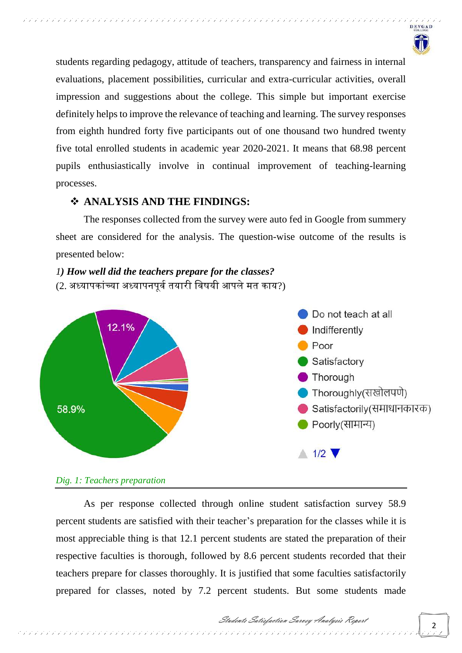

students regarding pedagogy, attitude of teachers, transparency and fairness in internal evaluations, placement possibilities, curricular and extra-curricular activities, overall impression and suggestions about the college. This simple but important exercise definitely helps to improve the relevance of teaching and learning. The survey responses from eighth hundred forty five participants out of one thousand two hundred twenty five total enrolled students in academic year 2020-2021. It means that 68.98 percent pupils enthusiastically involve in continual improvement of teaching-learning processes.

## **ANALYSIS AND THE FINDINGS:**

The responses collected from the survey were auto fed in Google from summery sheet are considered for the analysis. The question-wise outcome of the results is presented below:

*1) How well did the teachers prepare for the classes?*  (2. अध्यापकांच्या अध्यापनपर्व तयारी विषयी आपले मत काय?)



#### *Dig. 1: Teachers preparation*

As per response collected through online student satisfaction survey 58.9 percent students are satisfied with their teacher's preparation for the classes while it is most appreciable thing is that 12.1 percent students are stated the preparation of their respective faculties is thorough, followed by 8.6 percent students recorded that their teachers prepare for classes thoroughly. It is justified that some faculties satisfactorily prepared for classes, noted by 7.2 percent students. But some students made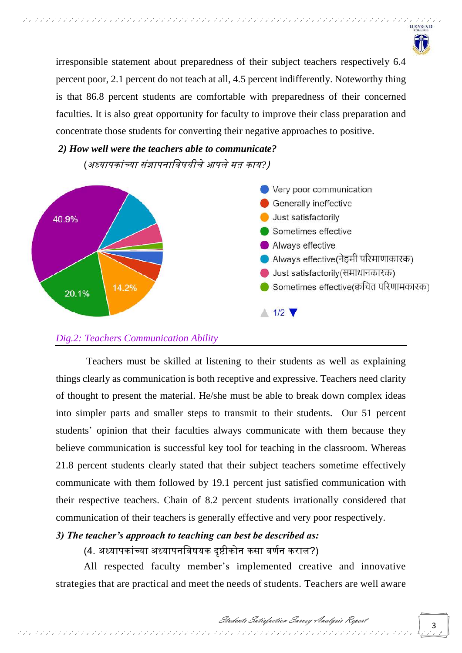

irresponsible statement about preparedness of their subject teachers respectively 6.4 percent poor, 2.1 percent do not teach at all, 4.5 percent indifferently. Noteworthy thing is that 86.8 percent students are comfortable with preparedness of their concerned faculties. It is also great opportunity for faculty to improve their class preparation and concentrate those students for converting their negative approaches to positive.

*2) How well were the teachers able to communicate?*  (अध्यापकाांच्या सांज्ञापनावर्षयीचेआपलेमय काय*?*)



#### *Dig.2: Teachers Communication Ability*

Teachers must be skilled at listening to their students as well as explaining things clearly as communication is both receptive and expressive. Teachers need clarity of thought to present the material. He/she must be able to break down complex ideas into simpler parts and smaller steps to transmit to their students. Our 51 percent students' opinion that their faculties always communicate with them because they believe communication is successful key tool for teaching in the classroom. Whereas 21.8 percent students clearly stated that their subject teachers sometime effectively communicate with them followed by 19.1 percent just satisfied communication with their respective teachers. Chain of 8.2 percent students irrationally considered that communication of their teachers is generally effective and very poor respectively.

## *3) The teacher's approach to teaching can best be described as:*

## (4. अध्यापकांच्या अध्यापनविषयक दृष्टीकोन कसा वर्णन कराल?)

All respected faculty member's implemented creative and innovative strategies that are practical and meet the needs of students. Teachers are well aware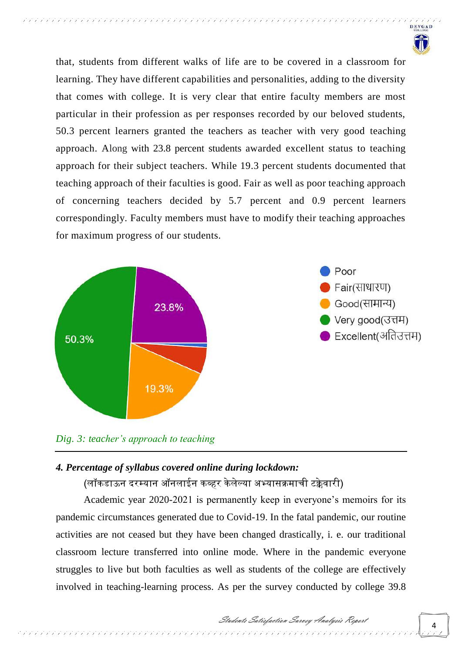

that, students from different walks of life are to be covered in a classroom for learning. They have different capabilities and personalities, adding to the diversity that comes with college. It is very clear that entire faculty members are most particular in their profession as per responses recorded by our beloved students, 50.3 percent learners granted the teachers as teacher with very good teaching approach. Along with 23.8 percent students awarded excellent status to teaching approach for their subject teachers. While 19.3 percent students documented that teaching approach of their faculties is good. Fair as well as poor teaching approach of concerning teachers decided by 5.7 percent and 0.9 percent learners correspondingly. Faculty members must have to modify their teaching approaches for maximum progress of our students.



*Dig. 3: teacher's approach to teaching*

#### *4. Percentage of syllabus covered online during lockdown:*

(लॉकडाऊन दरम्यान ऑनलाईन कव्हर के लेल्या अभ्यासक्रमाची टक्केर्ारी)

Academic year 2020-2021 is permanently keep in everyone's memoirs for its pandemic circumstances generated due to Covid-19. In the fatal pandemic, our routine activities are not ceased but they have been changed drastically, i. e. our traditional classroom lecture transferred into online mode. Where in the pandemic everyone struggles to live but both faculties as well as students of the college are effectively involved in teaching-learning process. As per the survey conducted by college 39.8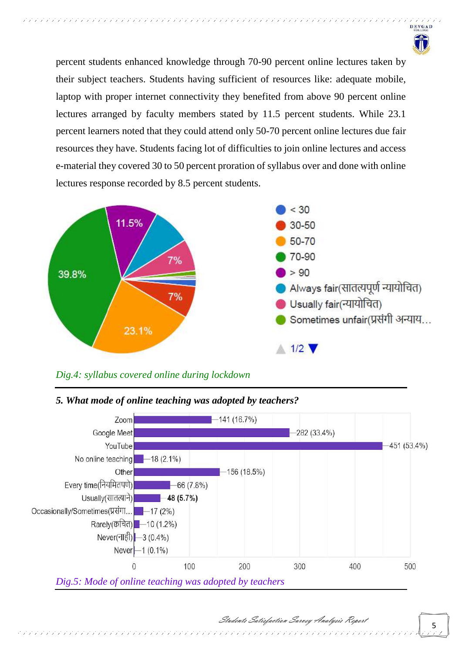

percent students enhanced knowledge through 70-90 percent online lectures taken by their subject teachers. Students having sufficient of resources like: adequate mobile, laptop with proper internet connectivity they benefited from above 90 percent online lectures arranged by faculty members stated by 11.5 percent students. While 23.1 percent learners noted that they could attend only 50-70 percent online lectures due fair resources they have. Students facing lot of difficulties to join online lectures and access e-material they covered 30 to 50 percent proration of syllabus over and done with online lectures response recorded by 8.5 percent students.



## *Dig.4: syllabus covered online during lockdown*



#### *5. What mode of online teaching was adopted by teachers?*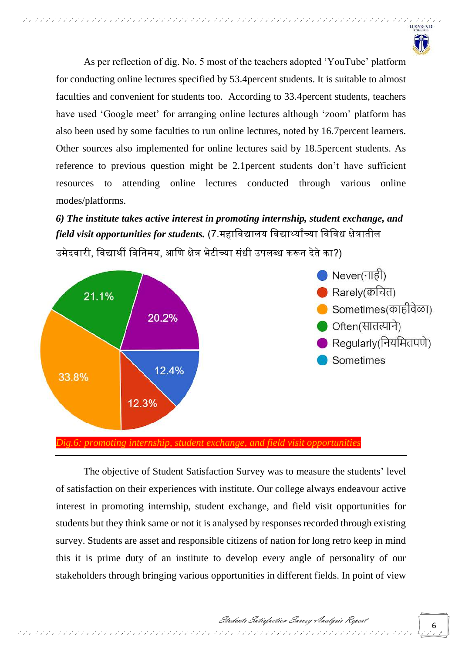

As per reflection of dig. No. 5 most of the teachers adopted 'YouTube' platform for conducting online lectures specified by 53.4percent students. It is suitable to almost faculties and convenient for students too. According to 33.4percent students, teachers have used 'Google meet' for arranging online lectures although 'zoom' platform has also been used by some faculties to run online lectures, noted by 16.7percent learners. Other sources also implemented for online lectures said by 18.5percent students. As reference to previous question might be 2.1percent students don't have sufficient resources to attending online lectures conducted through various online modes/platforms.

*6) The institute takes active interest in promoting internship, student exchange, and field visit opportunities for students*. (7.महाविद्यालय विद्यार्थ्यांच्या विविध क्षेत्रातील उमेदवारी, विद्यार्थी विनिमय, आणि क्षेत्र भेटीच्या संधी उपलब्ध करून देते का?)



*Dig.6: promoting internship, student exchange, and field visit opportunities*

The objective of Student Satisfaction Survey was to measure the students' level of satisfaction on their experiences with institute. Our college always endeavour active interest in promoting internship, student exchange, and field visit opportunities for students but they think same or not it is analysed by responses recorded through existing survey. Students are asset and responsible citizens of nation for long retro keep in mind this it is prime duty of an institute to develop every angle of personality of our stakeholders through bringing various opportunities in different fields. In point of view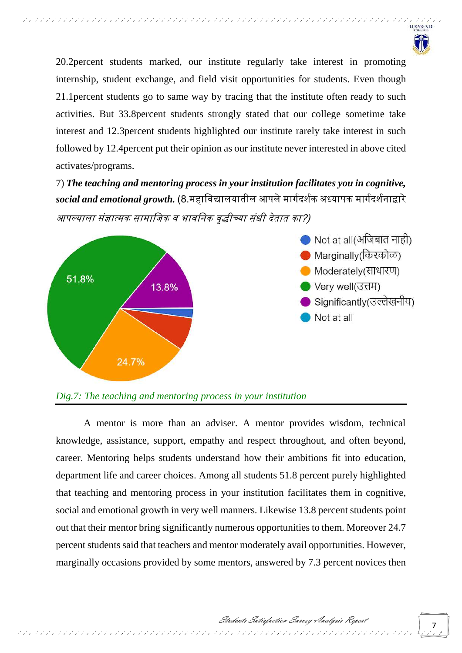

20.2percent students marked, our institute regularly take interest in promoting internship, student exchange, and field visit opportunities for students. Even though 21.1percent students go to same way by tracing that the institute often ready to such activities. But 33.8percent students strongly stated that our college sometime take interest and 12.3percent students highlighted our institute rarely take interest in such followed by 12.4percent put their opinion as our institute never interested in above cited activates/programs.

7) *The teaching and mentoring process in your institution facilitates you in cognitive, social and emotional growth.* (8.महावर्द्यालयायील आपलेमार्वदर्वक अध्यापक मार्वदर्वनाद्वारे आपल्याला संज्ञात्मक सामाजिक व भावनिक वद्धीच्या संधी देतात का?)



#### *Dig.7: The teaching and mentoring process in your institution*

A mentor is more than an adviser. A mentor provides wisdom, technical knowledge, assistance, support, empathy and respect throughout, and often beyond, career. Mentoring helps students understand how their ambitions fit into education, department life and career choices. Among all students 51.8 percent purely highlighted that teaching and mentoring process in your institution facilitates them in cognitive, social and emotional growth in very well manners. Likewise 13.8 percent students point out that their mentor bring significantly numerous opportunities to them. Moreover 24.7 percent students said that teachers and mentor moderately avail opportunities. However, marginally occasions provided by some mentors, answered by 7.3 percent novices then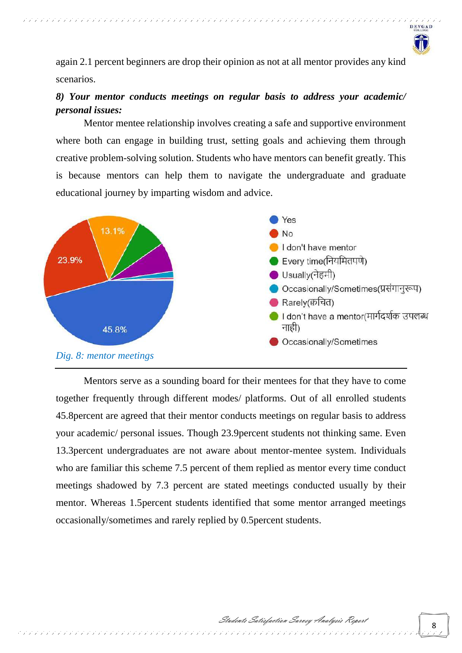

again 2.1 percent beginners are drop their opinion as not at all mentor provides any kind scenarios.

,,,,,,,,,,,,,,,,,,,,,

## *8) Your mentor conducts meetings on regular basis to address your academic/ personal issues:*

Mentor mentee relationship involves creating a safe and supportive environment where both can engage in building trust, setting goals and achieving them through creative problem-solving solution. Students who have mentors can benefit greatly. This is because mentors can help them to navigate the undergraduate and graduate educational journey by imparting wisdom and advice.



Mentors serve as a sounding board for their mentees for that they have to come together frequently through different modes/ platforms. Out of all enrolled students 45.8percent are agreed that their mentor conducts meetings on regular basis to address your academic/ personal issues. Though 23.9percent students not thinking same. Even 13.3percent undergraduates are not aware about mentor-mentee system. Individuals who are familiar this scheme 7.5 percent of them replied as mentor every time conduct meetings shadowed by 7.3 percent are stated meetings conducted usually by their mentor. Whereas 1.5percent students identified that some mentor arranged meetings occasionally/sometimes and rarely replied by 0.5percent students.

そううう ランフランファン ランプランプ アンデンテンプ アンデンテンプ アンデンテンプ アンデンデンデンデンデン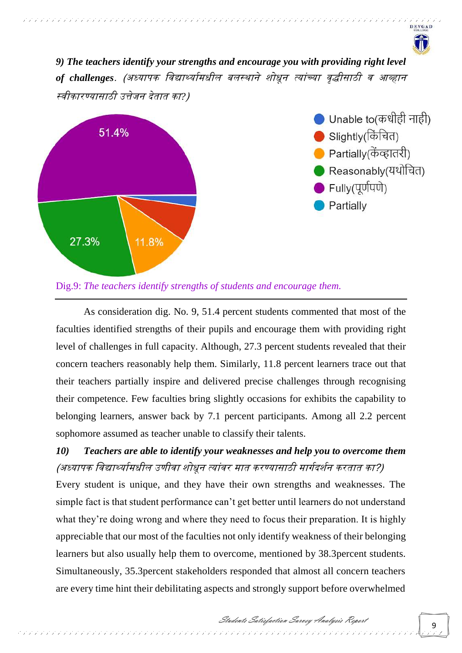*9) The teachers identify your strengths and encourage you with providing right level*  of challenges. (अध्यापक विद्यार्थ्यामधील बलस्थाने शोधून त्यांच्या वृद्धीसाठी व आव्हान स्वीकारण्यासाठी उत्तेजन देतात का?)



インファンファンファンファンファンファンファンファンファンファンファ

Unable to(कधीही नाही) Slightly(किंचित) Partially(केंव्हातरी) ● Reasonably(यथोचित)  $\blacktriangleright$  Fully(पूर्णपणे) Partially

**DEVGAD** 

Dig.9: *The teachers identify strengths of students and encourage them.*

As consideration dig. No. 9, 51.4 percent students commented that most of the faculties identified strengths of their pupils and encourage them with providing right level of challenges in full capacity. Although, 27.3 percent students revealed that their concern teachers reasonably help them. Similarly, 11.8 percent learners trace out that their teachers partially inspire and delivered precise challenges through recognising their competence. Few faculties bring slightly occasions for exhibits the capability to belonging learners, answer back by 7.1 percent participants. Among all 2.2 percent sophomore assumed as teacher unable to classify their talents.

## *10) Teachers are able to identify your weaknesses and help you to overcome them*  (अध्यापक विद्यार्थ्यामधील उणीवा शोधून त्यांवर मात करण्यासाठी मार्गदर्शन करतात का?)

Every student is unique, and they have their own strengths and weaknesses. The simple fact is that student performance can't get better until learners do not understand what they're doing wrong and where they need to focus their preparation. It is highly appreciable that our most of the faculties not only identify weakness of their belonging learners but also usually help them to overcome, mentioned by 38.3percent students. Simultaneously, 35.3percent stakeholders responded that almost all concern teachers are every time hint their debilitating aspects and strongly support before overwhelmed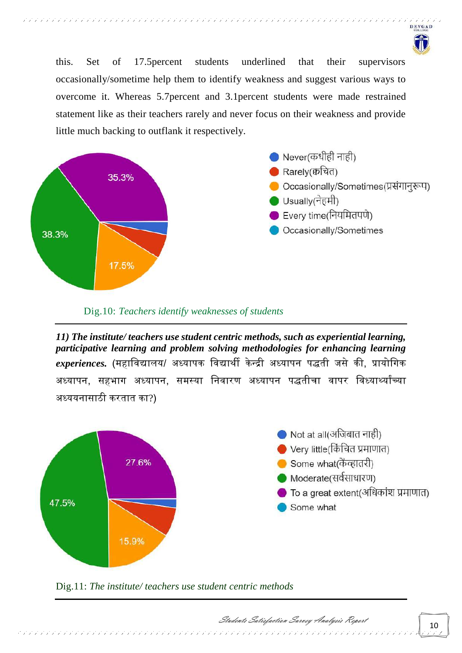

this. Set of 17.5percent students underlined that their supervisors occasionally/sometime help them to identify weakness and suggest various ways to overcome it. Whereas 5.7percent and 3.1percent students were made restrained statement like as their teachers rarely and never focus on their weakness and provide little much backing to outflank it respectively.



#### Dig.10: *Teachers identify weaknesses of students*

*11) The institute/ teachers use student centric methods, such as experiential learning, participative learning and problem solving methodologies for enhancing learning experiences*. (महाविद्यालय/ अध्यापक विद्यार्थी केन्द्री अध्यापन पद्धती जसे की, प्रायोगिक अध्यापन, सहभाग अध्यापन, समस्या निवारण अध्यापन पद्धतीचा वापर विध्यार्थ्यांच्या अध्ययनासाठी करयाय का?)



Dig.11: *The institute/ teachers use student centric methods*

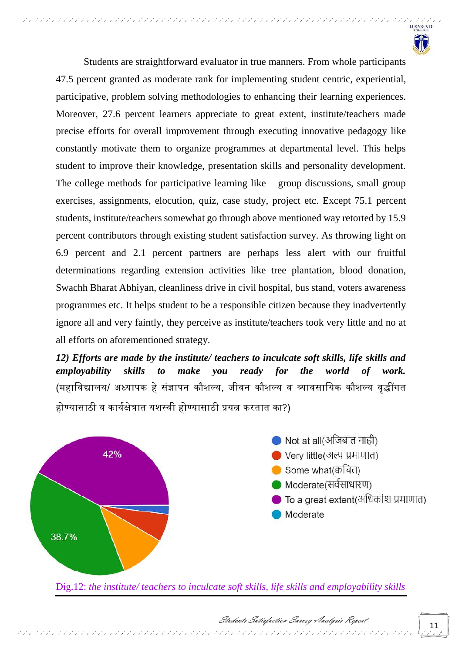

Students are straightforward evaluator in true manners. From whole participants 47.5 percent granted as moderate rank for implementing student centric, experiential, participative, problem solving methodologies to enhancing their learning experiences. Moreover, 27.6 percent learners appreciate to great extent, institute/teachers made precise efforts for overall improvement through executing innovative pedagogy like constantly motivate them to organize programmes at departmental level. This helps student to improve their knowledge, presentation skills and personality development. The college methods for participative learning like – group discussions, small group exercises, assignments, elocution, quiz, case study, project etc. Except 75.1 percent students, institute/teachers somewhat go through above mentioned way retorted by 15.9 percent contributors through existing student satisfaction survey. As throwing light on 6.9 percent and 2.1 percent partners are perhaps less alert with our fruitful determinations regarding extension activities like tree plantation, blood donation, Swachh Bharat Abhiyan, cleanliness drive in civil hospital, bus stand, voters awareness programmes etc. It helps student to be a responsible citizen because they inadvertently ignore all and very faintly, they perceive as institute/teachers took very little and no at all efforts on aforementioned strategy.

,,,,,,,,,,,,,,,,,,,,,

*12) Efforts are made by the institute/ teachers to inculcate soft skills, life skills and employability skills to make you ready for the world of work.*  (महाविद्यालय/ अध्यापक हे संज्ञापन कौशल्य, जीवन कौशल्य व व्यावसायिक कौशल्य वृद्धींगत होण्यासाठी व कार्यक्षेत्रात यशस्वी होण्यासाठी प्रयत्न करतात का?)



Dig.12: *the institute/ teachers to inculcate soft skills, life skills and employability skills*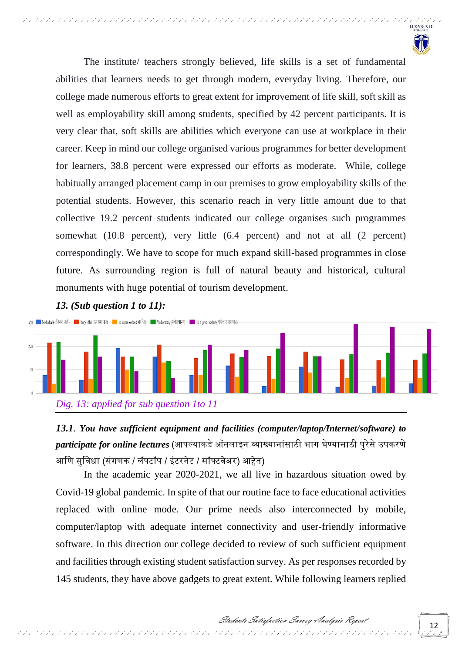

The institute/ teachers strongly believed, life skills is a set of fundamental abilities that learners needs to get through modern, everyday living. Therefore, our college made numerous efforts to great extent for improvement of life skill, soft skill as well as employability skill among students, specified by 42 percent participants. It is very clear that, soft skills are abilities which everyone can use at workplace in their career. Keep in mind our college organised various programmes for better development for learners, 38.8 percent were expressed our efforts as moderate. While, college habitually arranged placement camp in our premises to grow employability skills of the potential students. However, this scenario reach in very little amount due to that collective 19.2 percent students indicated our college organises such programmes somewhat (10.8 percent), very little (6.4 percent) and not at all (2 percent) correspondingly. We have to scope for much expand skill-based programmes in close future. As surrounding region is full of natural beauty and historical, cultural monuments with huge potential of tourism development.

#### *13. (Sub question 1 to 11):*



*13.1. You have sufficient equipment and facilities (computer/laptop/Internet/software) to participate for online lectures* (आपल्याकडे ऑनलाइन व्याख्यानांसाठी भाग घेण्यासाठी परेसे उपकरणे आणि सुविधा (संगणक / लॅपटॉप / इंटरनेट / सॉफ्टवेअर) आहेत)

In the academic year 2020-2021, we all live in hazardous situation owed by Covid-19 global pandemic. In spite of that our routine face to face educational activities replaced with online mode. Our prime needs also interconnected by mobile, computer/laptop with adequate internet connectivity and user-friendly informative software. In this direction our college decided to review of such sufficient equipment and facilities through existing student satisfaction survey. As per responses recorded by 145 students, they have above gadgets to great extent. While following learners replied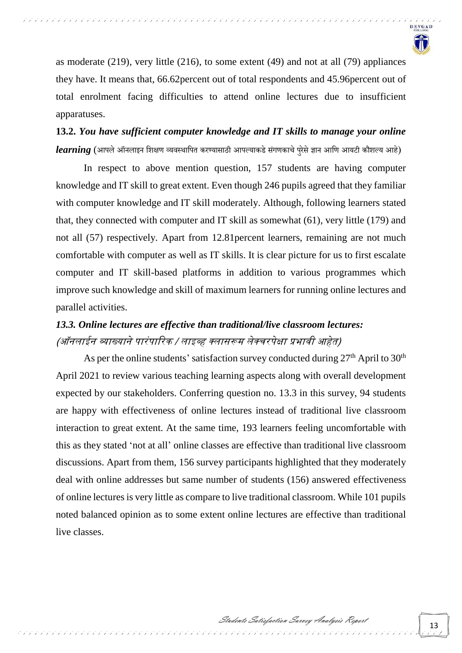

as moderate (219), very little (216), to some extent (49) and not at all (79) appliances they have. It means that, 66.62percent out of total respondents and 45.96percent out of total enrolment facing difficulties to attend online lectures due to insufficient apparatuses.

**13.2.** *You have sufficient computer knowledge and IT skills to manage your online learning* (आपले ऑनलाइन शिक्षण व्यवस्थापित करण्यासाठी आपल्याकडे संगणकाचे परेसे ज्ञान आणि आयटी कौशल्य आहे)

In respect to above mention question, 157 students are having computer knowledge and IT skill to great extent. Even though 246 pupils agreed that they familiar with computer knowledge and IT skill moderately. Although, following learners stated that, they connected with computer and IT skill as somewhat (61), very little (179) and not all (57) respectively. Apart from 12.81percent learners, remaining are not much comfortable with computer as well as IT skills. It is clear picture for us to first escalate computer and IT skill-based platforms in addition to various programmes which improve such knowledge and skill of maximum learners for running online lectures and parallel activities.

## *13.3. Online lectures are effective than traditional/live classroom lectures:* (ऑनलाईन व्याख्याने पारंपारिक / लाइव्ह क्लासरूम लेक्चरपेक्षा प्रभावी आहेत)

As per the online students' satisfaction survey conducted during  $27<sup>th</sup>$  April to  $30<sup>th</sup>$ April 2021 to review various teaching learning aspects along with overall development expected by our stakeholders. Conferring question no. 13.3 in this survey, 94 students are happy with effectiveness of online lectures instead of traditional live classroom interaction to great extent. At the same time, 193 learners feeling uncomfortable with this as they stated 'not at all' online classes are effective than traditional live classroom discussions. Apart from them, 156 survey participants highlighted that they moderately deal with online addresses but same number of students (156) answered effectiveness of online lectures is very little as compare to live traditional classroom. While 101 pupils noted balanced opinion as to some extent online lectures are effective than traditional live classes.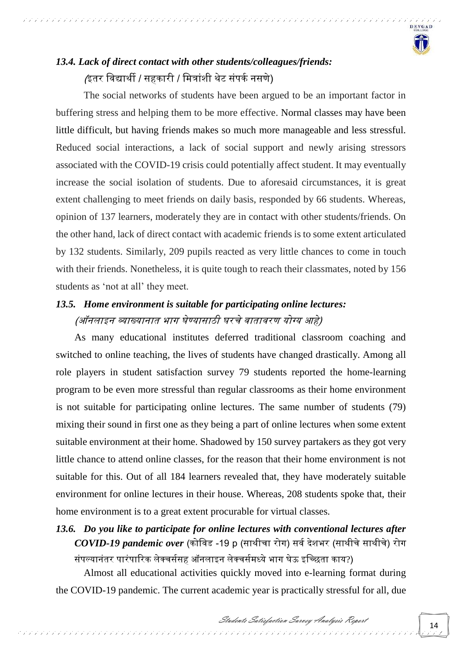

## *13.4. Lack of direct contact with other students/colleagues/friends:* /इतर विद्यार्थी / सहकारी / मित्रांशी थेट संपर्क नसणे)

,,,,,,,,,,,,,,,,,,,,,,,,,,,,,,,,,,

The social networks of students have been argued to be an important factor in buffering stress and helping them to be more effective. Normal classes may have been little difficult, but having friends makes so much more manageable and less stressful. Reduced social interactions, a lack of social support and newly arising stressors associated with the COVID-19 crisis could potentially affect student. It may eventually increase the social isolation of students. Due to aforesaid circumstances, it is great extent challenging to meet friends on daily basis, responded by 66 students. Whereas, opinion of 137 learners, moderately they are in contact with other students/friends. On the other hand, lack of direct contact with academic friends is to some extent articulated by 132 students. Similarly, 209 pupils reacted as very little chances to come in touch with their friends. Nonetheless, it is quite tough to reach their classmates, noted by 156 students as 'not at all' they meet.

## *13.5. Home environment is suitable for participating online lectures:* (ऑनलाइन व्याख्यानात भाग घेण्यासाठी घरचे वातावरण योग्य आहे)

As many educational institutes deferred traditional classroom coaching and switched to online teaching, the lives of students have changed drastically. Among all role players in student satisfaction survey 79 students reported the home-learning program to be even more stressful than regular classrooms as their home environment is not suitable for participating online lectures. The same number of students (79) mixing their sound in first one as they being a part of online lectures when some extent suitable environment at their home. Shadowed by 150 survey partakers as they got very little chance to attend online classes, for the reason that their home environment is not suitable for this. Out of all 184 learners revealed that, they have moderately suitable environment for online lectures in their house. Whereas, 208 students spoke that, their home environment is to a great extent procurable for virtual classes.

## *13.6. Do you like to participate for online lectures with conventional lectures after COVID-19 pandemic over* (कोविड -19 p (साथीचा रोग) सर्व देशभर (साथीचे साथीचे) रोग संपल्यानंतर पारंपारिक लेक्चर्ससह ऑनलाइन लेक्चर्समध्ये भाग घेऊ इच्छिता काय?)

Almost all educational activities quickly moved into e-learning format during the COVID-19 pandemic. The current academic year is practically stressful for all, due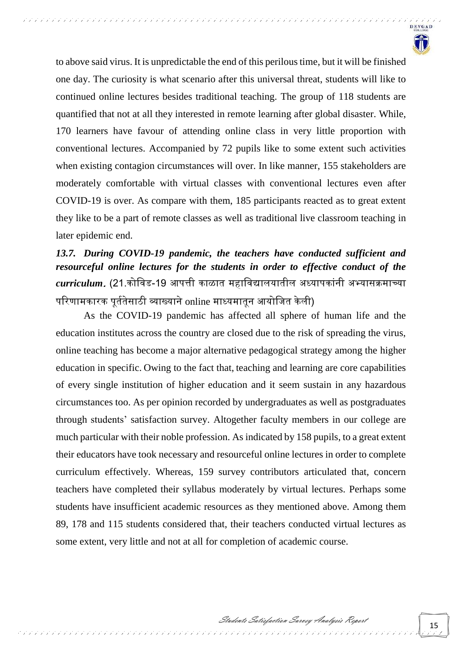

to above said virus. It is unpredictable the end of this perilous time, but it will be finished one day. The curiosity is what scenario after this universal threat, students will like to continued online lectures besides traditional teaching. The group of 118 students are quantified that not at all they interested in remote learning after global disaster. While, 170 learners have favour of attending online class in very little proportion with conventional lectures. Accompanied by 72 pupils like to some extent such activities when existing contagion circumstances will over. In like manner, 155 stakeholders are moderately comfortable with virtual classes with conventional lectures even after COVID-19 is over. As compare with them, 185 participants reacted as to great extent they like to be a part of remote classes as well as traditional live classroom teaching in later epidemic end.

,,,,,,,,,,,,,,,,,,,,,,,,,,,,,,,,,,,,

## *13.7. During COVID-19 pandemic, the teachers have conducted sufficient and resourceful online lectures for the students in order to effective conduct of the curriculum*. (21.कोवर्ड-19 आपत्ती काळाय महावर्द्यालयायील अध्यापकाांनी अभ्यासक्रमाच्या परिणामकारक पूर्ततेसाठी व्याख्याने online माध्यमातून आयोजित केली)

As the COVID-19 pandemic has affected all sphere of human life and the education institutes across the country are closed due to the risk of spreading the virus, online teaching has become a major alternative pedagogical strategy among the higher education in specific. Owing to the fact that, teaching and learning are core capabilities of every single institution of higher education and it seem sustain in any hazardous circumstances too. As per opinion recorded by undergraduates as well as postgraduates through students' satisfaction survey. Altogether faculty members in our college are much particular with their noble profession. As indicated by 158 pupils, to a great extent their educators have took necessary and resourceful online lectures in order to complete curriculum effectively. Whereas, 159 survey contributors articulated that, concern teachers have completed their syllabus moderately by virtual lectures. Perhaps some students have insufficient academic resources as they mentioned above. Among them 89, 178 and 115 students considered that, their teachers conducted virtual lectures as some extent, very little and not at all for completion of academic course.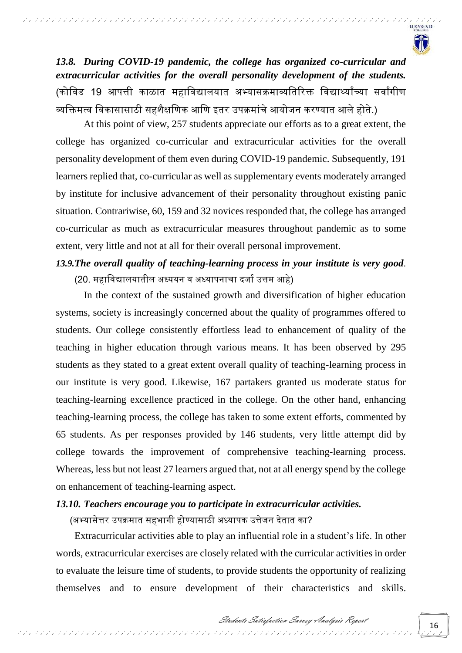

*13.8. During COVID-19 pandemic, the college has organized co-curricular and extracurricular activities for the overall personality development of the students.* (कोविड 19 आपत्ती काळात महाविद्यालयात अभ्यासक्रमाव्यतिरिक्त विद्यार्थ्यांच्या सर्वांगीण व्यक्तिमत्व विकासासाठी सहशैक्षणिक आणि इतर उपक्रमांचे आयोजन करण्यात आले होते.)

At this point of view, 257 students appreciate our efforts as to a great extent, the college has organized co-curricular and extracurricular activities for the overall personality development of them even during COVID-19 pandemic. Subsequently, 191 learners replied that, co-curricular as well as supplementary events moderately arranged by institute for inclusive advancement of their personality throughout existing panic situation. Contrariwise, 60, 159 and 32 novices responded that, the college has arranged co-curricular as much as extracurricular measures throughout pandemic as to some extent, very little and not at all for their overall personal improvement.

## *13.9.The overall quality of teaching-learning process in your institute is very good*. (20. महाविद्यालयातील अध्ययन व अध्यापनाचा दर्जा उत्तम आहे)

In the context of the sustained growth and diversification of higher education systems, society is increasingly concerned about the quality of programmes offered to students. Our college consistently effortless lead to enhancement of quality of the teaching in higher education through various means. It has been observed by 295 students as they stated to a great extent overall quality of teaching-learning process in our institute is very good. Likewise, 167 partakers granted us moderate status for teaching-learning excellence practiced in the college. On the other hand, enhancing teaching-learning process, the college has taken to some extent efforts, commented by 65 students. As per responses provided by 146 students, very little attempt did by college towards the improvement of comprehensive teaching-learning process. Whereas, less but not least 27 learners argued that, not at all energy spend by the college on enhancement of teaching-learning aspect.

#### *13.10. Teachers encourage you to participate in extracurricular activities.*

(अभ्यासेत्तर उपक्रमात सहभागी होण्यासाठी अध्यापक उत्तेजन देतात का?

Extracurricular activities able to play an influential role in a student's life. In other words, extracurricular exercises are closely related with the curricular activities in order to evaluate the leisure time of students, to provide students the opportunity of realizing themselves and to ensure development of their characteristics and skills.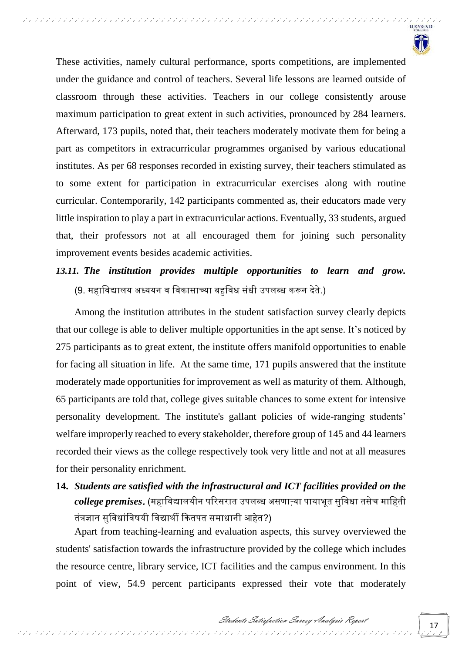

These activities, namely cultural performance, sports competitions, are implemented under the guidance and control of teachers. Several life lessons are learned outside of classroom through these activities. Teachers in our college consistently arouse maximum participation to great extent in such activities, pronounced by 284 learners. Afterward, 173 pupils, noted that, their teachers moderately motivate them for being a part as competitors in extracurricular programmes organised by various educational institutes. As per 68 responses recorded in existing survey, their teachers stimulated as to some extent for participation in extracurricular exercises along with routine curricular. Contemporarily, 142 participants commented as, their educators made very little inspiration to play a part in extracurricular actions. Eventually, 33 students, argued that, their professors not at all encouraged them for joining such personality improvement events besides academic activities.

## *13.11. The institution provides multiple opportunities to learn and grow.*  (9. महाविद्यालय अध्ययन व विकासाच्या बहुविध संधी उपलब्ध करून देते.)

Among the institution attributes in the student satisfaction survey clearly depicts that our college is able to deliver multiple opportunities in the apt sense. It's noticed by 275 participants as to great extent, the institute offers manifold opportunities to enable for facing all situation in life. At the same time, 171 pupils answered that the institute moderately made opportunities for improvement as well as maturity of them. Although, 65 participants are told that, college gives suitable chances to some extent for intensive personality development. The institute's gallant policies of wide-ranging students' welfare improperly reached to every stakeholder, therefore group of 145 and 44 learners recorded their views as the college respectively took very little and not at all measures for their personality enrichment.

## **14.** *Students are satisfied with the infrastructural and ICT facilities provided on the college premises*. (महावर्द्यालयीन पररसराय उपलब्ध असर्ा्या पायाभूय सुवर्धा यसेच मावहयी तंत्रज्ञान सुविधांविषयी विद्यार्थी कितपत समाधानी आहेत?)

Apart from teaching-learning and evaluation aspects, this survey overviewed the students' satisfaction towards the infrastructure provided by the college which includes the resource centre, library service, ICT facilities and the campus environment. In this point of view, 54.9 percent participants expressed their vote that moderately

ת תוכנית לכולל לתוכנית לתוכנית לתוכנית לתוכנית לתוכנית לתוכנית לתוכנית לתוכנית לתוכנית לתוכנית לתוכנית לתוכנית

Students Satisfaction Survey Analysis Report

アデアアデア アデアテ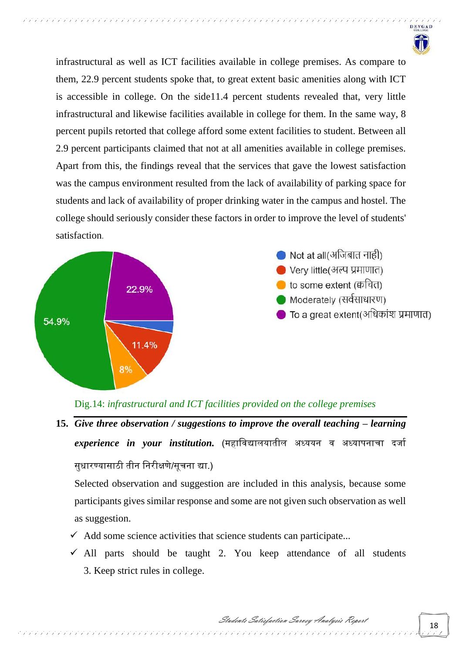

infrastructural as well as ICT facilities available in college premises. As compare to them, 22.9 percent students spoke that, to great extent basic amenities along with ICT is accessible in college. On the side11.4 percent students revealed that, very little infrastructural and likewise facilities available in college for them. In the same way, 8 percent pupils retorted that college afford some extent facilities to student. Between all 2.9 percent participants claimed that not at all amenities available in college premises. Apart from this, the findings reveal that the services that gave the lowest satisfaction was the campus environment resulted from the lack of availability of parking space for students and lack of availability of proper drinking water in the campus and hostel. The college should seriously consider these factors in order to improve the level of students' satisfaction.



Dig.14: *infrastructural and ICT facilities provided on the college premises*

15. *Give three observation / suggestions to improve the overall teaching – learning experience in your institution*. (महाविद्यालयातील अध्ययन व अध्यापनाचा दर्जा सधारण्यासाठी तीन निरीक्षणे/सूचना द्या.)

Selected observation and suggestion are included in this analysis, because some participants gives similar response and some are not given such observation as well as suggestion.

 $\checkmark$  Add some science activities that science students can participate...

 $\checkmark$  All parts should be taught 2. You keep attendance of all students 3. Keep strict rules in college.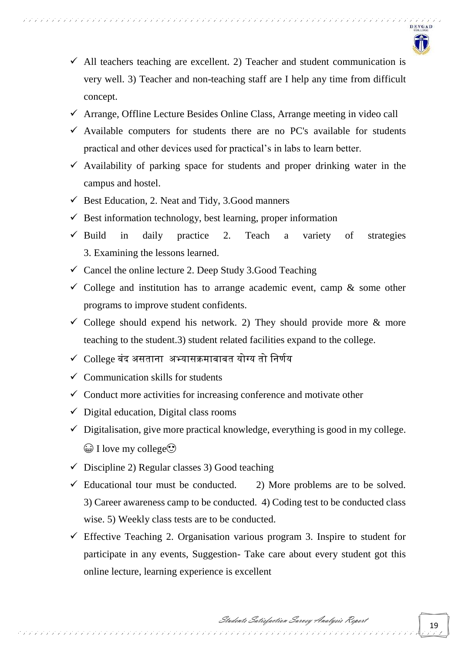

- $\checkmark$  All teachers teaching are excellent. 2) Teacher and student communication is very well. 3) Teacher and non-teaching staff are I help any time from difficult concept.
- $\checkmark$  Arrange, Offline Lecture Besides Online Class, Arrange meeting in video call
- $\checkmark$  Available computers for students there are no PC's available for students practical and other devices used for practical's in labs to learn better.
- $\checkmark$  Availability of parking space for students and proper drinking water in the campus and hostel.
- $\checkmark$  Best Education, 2. Neat and Tidy, 3. Good manners

- $\checkmark$  Best information technology, best learning, proper information
- $\checkmark$  Build in daily practice 2. Teach a variety of strategies 3. Examining the lessons learned.
- $\checkmark$  Cancel the online lecture 2. Deep Study 3. Good Teaching
- $\checkmark$  College and institution has to arrange academic event, camp & some other programs to improve student confidents.
- $\checkmark$  College should expend his network. 2) They should provide more & more teaching to the student.3) student related facilities expand to the college.
- $\checkmark$  College बंद असताना अभ्यासक्रमाबाबत योग्य तो निर्णय
- $\checkmark$  Communication skills for students
- $\checkmark$  Conduct more activities for increasing conference and motivate other
- $\checkmark$  Digital education, Digital class rooms
- $\checkmark$  Digitalisation, give more practical knowledge, everything is good in my college.  $\bigcirc$  I love my college $\bigcirc$
- $\checkmark$  Discipline 2) Regular classes 3) Good teaching
- $\checkmark$  Educational tour must be conducted. 2) More problems are to be solved. 3) Career awareness camp to be conducted. 4) Coding test to be conducted class wise. 5) Weekly class tests are to be conducted.
- $\checkmark$  Effective Teaching 2. Organisation various program 3. Inspire to student for participate in any events, Suggestion- Take care about every student got this online lecture, learning experience is excellent

לול ליליל לקליל לקליל לקליל לקליל לקליל לקליל לקליל לקליל לקליל לקליל לקליל לקליל לקליל לקליל לקליל לקליל לקליל לקליל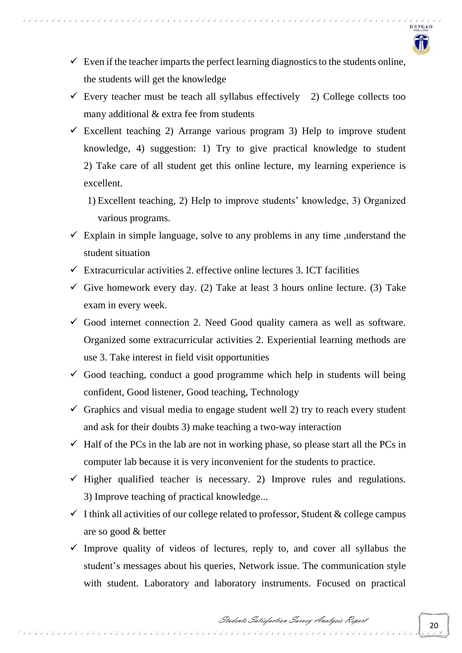

 $\checkmark$  Even if the teacher imparts the perfect learning diagnostics to the students online, the students will get the knowledge

- $\checkmark$  Every teacher must be teach all syllabus effectively 2) College collects too many additional & extra fee from students
- $\checkmark$  Excellent teaching 2) Arrange various program 3) Help to improve student knowledge, 4) suggestion: 1) Try to give practical knowledge to student 2) Take care of all student get this online lecture, my learning experience is excellent.
	- 1) Excellent teaching, 2) Help to improve students' knowledge, 3) Organized various programs.
- $\checkmark$  Explain in simple language, solve to any problems in any time , understand the student situation
- $\checkmark$  Extracurricular activities 2. effective online lectures 3. ICT facilities
- Give homework every day. (2) Take at least 3 hours online lecture. (3) Take exam in every week.
- $\checkmark$  Good internet connection 2. Need Good quality camera as well as software. Organized some extracurricular activities 2. Experiential learning methods are use 3. Take interest in field visit opportunities
- $\checkmark$  Good teaching, conduct a good programme which help in students will being confident, Good listener, Good teaching, Technology
- $\checkmark$  Graphics and visual media to engage student well 2) try to reach every student and ask for their doubts 3) make teaching a two-way interaction
- $\checkmark$  Half of the PCs in the lab are not in working phase, so please start all the PCs in computer lab because it is very inconvenient for the students to practice.
- $\checkmark$  Higher qualified teacher is necessary. 2) Improve rules and regulations. 3) Improve teaching of practical knowledge...
- $\checkmark$  I think all activities of our college related to professor, Student & college campus are so good & better
- $\checkmark$  Improve quality of videos of lectures, reply to, and cover all syllabus the student's messages about his queries, Network issue. The communication style with student. Laboratory and laboratory instruments. Focused on practical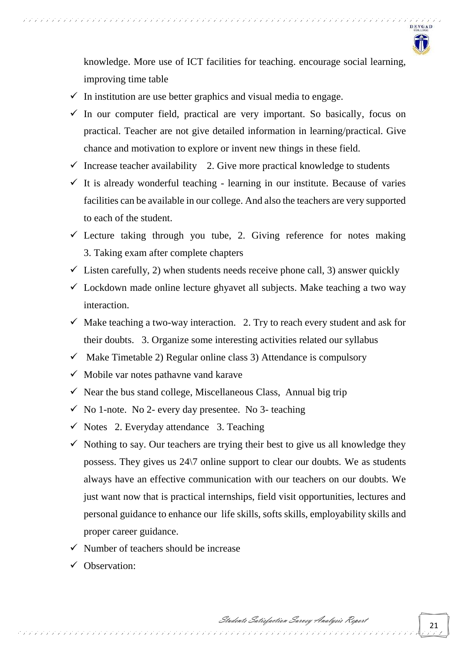

knowledge. More use of ICT facilities for teaching. encourage social learning, improving time table

 $\checkmark$  In institution are use better graphics and visual media to engage.

- $\checkmark$  In our computer field, practical are very important. So basically, focus on practical. Teacher are not give detailed information in learning/practical. Give chance and motivation to explore or invent new things in these field.
- $\checkmark$  Increase teacher availability 2. Give more practical knowledge to students
- $\checkmark$  It is already wonderful teaching learning in our institute. Because of varies facilities can be available in our college. And also the teachers are very supported to each of the student.
- $\checkmark$  Lecture taking through you tube, 2. Giving reference for notes making 3. Taking exam after complete chapters
- $\checkmark$  Listen carefully, 2) when students needs receive phone call, 3) answer quickly
- $\checkmark$  Lockdown made online lecture ghyavet all subjects. Make teaching a two way interaction.
- $\checkmark$  Make teaching a two-way interaction. 2. Try to reach every student and ask for their doubts. 3. Organize some interesting activities related our syllabus
- $\checkmark$  Make Timetable 2) Regular online class 3) Attendance is compulsory
- $\checkmark$  Mobile var notes pathavne vand karave
- $\checkmark$  Near the bus stand college, Miscellaneous Class, Annual big trip

- $\checkmark$  No 1-note. No 2- every day presentee. No 3- teaching
- $\checkmark$  Notes 2. Everyday attendance 3. Teaching
- $\checkmark$  Nothing to say. Our teachers are trying their best to give us all knowledge they possess. They gives us 24\7 online support to clear our doubts. We as students always have an effective communication with our teachers on our doubts. We just want now that is practical internships, field visit opportunities, lectures and personal guidance to enhance our life skills, softs skills, employability skills and proper career guidance.
- $\checkmark$  Number of teachers should be increase
- Observation: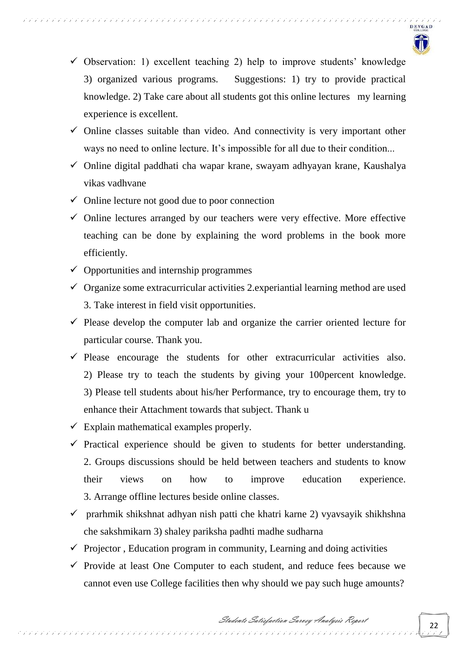

 $\checkmark$  Observation: 1) excellent teaching 2) help to improve students' knowledge 3) organized various programs. Suggestions: 1) try to provide practical knowledge. 2) Take care about all students got this online lectures my learning experience is excellent.

- $\checkmark$  Online classes suitable than video. And connectivity is very important other ways no need to online lecture. It's impossible for all due to their condition...
- $\checkmark$  Online digital paddhati cha wapar krane, swayam adhyayan krane, Kaushalya vikas vadhvane
- $\checkmark$  Online lecture not good due to poor connection
- $\checkmark$  Online lectures arranged by our teachers were very effective. More effective teaching can be done by explaining the word problems in the book more efficiently.
- $\checkmark$  Opportunities and internship programmes
- $\checkmark$  Organize some extracurricular activities 2.experiantial learning method are used 3. Take interest in field visit opportunities.
- $\checkmark$  Please develop the computer lab and organize the carrier oriented lecture for particular course. Thank you.
- $\checkmark$  Please encourage the students for other extracurricular activities also. 2) Please try to teach the students by giving your 100percent knowledge. 3) Please tell students about his/her Performance, try to encourage them, try to enhance their Attachment towards that subject. Thank u
- $\checkmark$  Explain mathematical examples properly.
- $\checkmark$  Practical experience should be given to students for better understanding. 2. Groups discussions should be held between teachers and students to know their views on how to improve education experience. 3. Arrange offline lectures beside online classes.
- $\checkmark$  prarhmik shikshnat adhyan nish patti che khatri karne 2) vyavsayik shikhshna che sakshmikarn 3) shaley pariksha padhti madhe sudharna
- $\checkmark$  Projector, Education program in community, Learning and doing activities

 $\checkmark$  Provide at least One Computer to each student, and reduce fees because we cannot even use College facilities then why should we pay such huge amounts?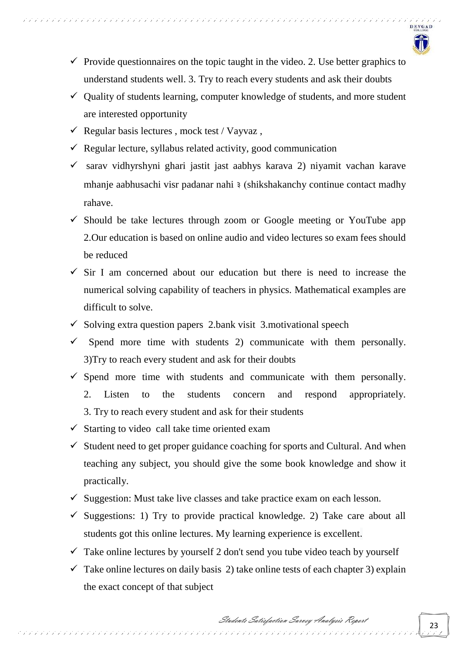

- $\checkmark$  Provide questionnaires on the topic taught in the video. 2. Use better graphics to understand students well. 3. Try to reach every students and ask their doubts
- $\checkmark$  Quality of students learning, computer knowledge of students, and more student are interested opportunity
- $\checkmark$  Regular basis lectures, mock test / Vayvaz,

- $\checkmark$  Regular lecture, syllabus related activity, good communication
- $\checkmark$  sarav vidhyrshyni ghari jastit jast aabhys karava 2) niyamit vachan karave mhanje aabhusachi visr padanar nahi ३ (shikshakanchy continue contact madhy rahave.
- $\checkmark$  Should be take lectures through zoom or Google meeting or YouTube app 2.Our education is based on online audio and video lectures so exam fees should be reduced
- $\checkmark$  Sir I am concerned about our education but there is need to increase the numerical solving capability of teachers in physics. Mathematical examples are difficult to solve.
- $\checkmark$  Solving extra question papers 2.bank visit 3. motivational speech
- Spend more time with students 2) communicate with them personally. 3)Try to reach every student and ask for their doubts
- $\checkmark$  Spend more time with students and communicate with them personally. 2. Listen to the students concern and respond appropriately. 3. Try to reach every student and ask for their students
- $\checkmark$  Starting to video call take time oriented exam
- $\checkmark$  Student need to get proper guidance coaching for sports and Cultural. And when teaching any subject, you should give the some book knowledge and show it practically.
- $\checkmark$  Suggestion: Must take live classes and take practice exam on each lesson.
- $\checkmark$  Suggestions: 1) Try to provide practical knowledge. 2) Take care about all students got this online lectures. My learning experience is excellent.
- $\checkmark$  Take online lectures by yourself 2 don't send you tube video teach by yourself
- $\checkmark$  Take online lectures on daily basis 2) take online tests of each chapter 3) explain the exact concept of that subject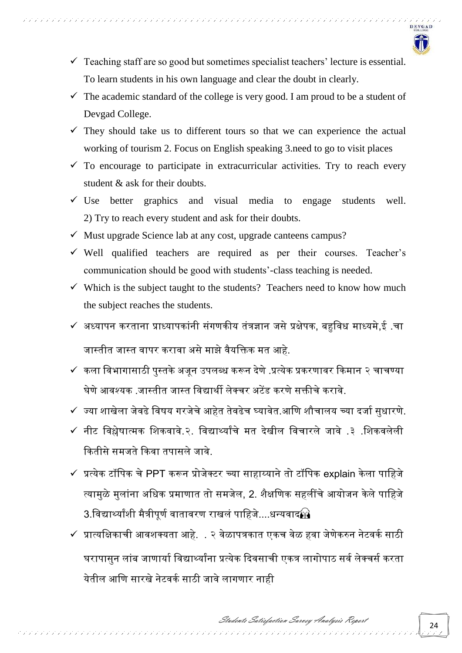

- $\checkmark$  Teaching staff are so good but sometimes specialist teachers' lecture is essential. To learn students in his own language and clear the doubt in clearly.
- $\checkmark$  The academic standard of the college is very good. I am proud to be a student of Devgad College.
- $\checkmark$  They should take us to different tours so that we can experience the actual working of tourism 2. Focus on English speaking 3.need to go to visit places
- $\checkmark$  To encourage to participate in extracurricular activities. Try to reach every student & ask for their doubts.
- $\checkmark$  Use better graphics and visual media to engage students well. 2) Try to reach every student and ask for their doubts.
- $\checkmark$  Must upgrade Science lab at any cost, upgrade canteens campus?
- $\checkmark$  Well qualified teachers are required as per their courses. Teacher's communication should be good with students'-class teaching is needed.
- $\checkmark$  Which is the subject taught to the students? Teachers need to know how much the subject reaches the students.
- $\checkmark$  अध्यापन करताना प्राध्यापकांनी संगणकीय तंत्रज्ञान जसे प्रक्षेपक, बहुविध माध्यमे,ई .चा जास्तीत जास्त वापर करावा असे माझे वैयक्तिक मत आहे.
- $\checkmark$  कला विभागासाठी पस्तके अजन उपलब्ध करून देणे .प्रत्येक प्रकरणावर किमान २ चाचण्या घेणे आवश्यक .जास्तीत जास्त विद्यार्थी लेक्चर अटेंड करणे सक्तीचे करावे.
- $\checkmark$  ज्या शाखेला जेवढे विषय गरजेचे आहेत तेवढेच घ्यावेत.आणि शौचालय च्या दर्जा सुधारणे.
- $\checkmark$  नीट विश्लेषात्मक शिकवावे.२. विद्यार्थ्यांचे मत देखील विचारले जावे .३ .शिकवलेली कितीसे समजते किवा तपासले जावे
- $\checkmark$  प्रत्येक टॉपिक चे PPT करून प्रोजेक्टर च्या साहाय्याने तो टॉपिक explain केला पाहिजे त्यामुळे मुलांना अधिक प्रमाणात तो समजेल, 2. शैक्षणिक सहलींचे आयोजन केले पाहिजे  $3.$ विद्यार्थ्यांशी मैत्रीपुर्ण वातावरण राखलं पाहिजे....धन्यवाद $\Omega$
- $\checkmark$  प्रात्यक्षिकाची आवशक्यता आहे. . २ वेळापत्रकात एकच वेळ हवा जेणेकरुन नेटवर्क साठी घरापासुन लांब जाणार्या विद्यार्थ्यांना प्रत्येक दिवसाची एकत्र लागोपाठ सर्व लेक्चर्स करता येतील आणि सारखे नेटवर्क साठी जावे लागणार नाह<mark>ी</mark>